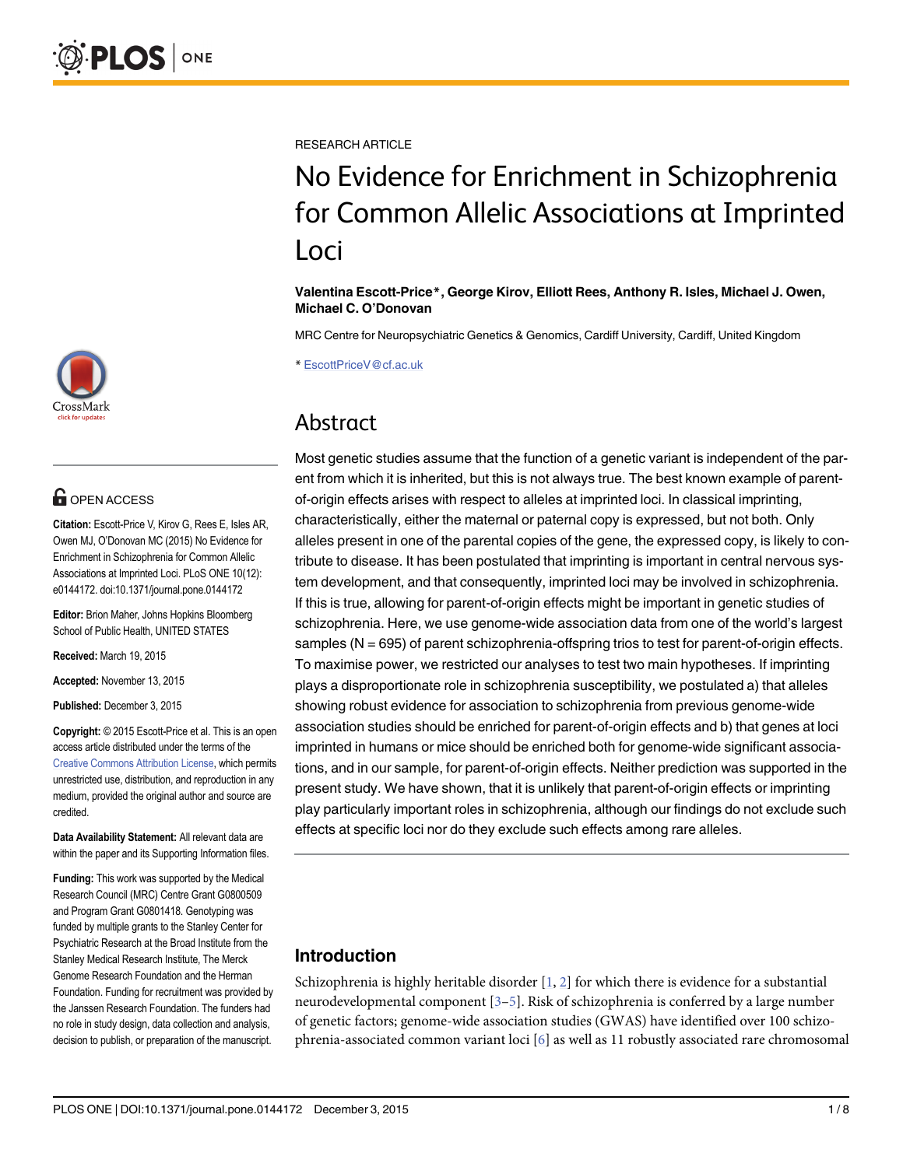

# **G** OPEN ACCESS

Citation: Escott-Price V, Kirov G, Rees E, Isles AR, Owen MJ, O'Donovan MC (2015) No Evidence for Enrichment in Schizophrenia for Common Allelic Associations at Imprinted Loci. PLoS ONE 10(12): e0144172. doi:10.1371/journal.pone.0144172

Editor: Brion Maher, Johns Hopkins Bloomberg School of Public Health, UNITED STATES

Received: March 19, 2015

Accepted: November 13, 2015

Published: December 3, 2015

Copyright: © 2015 Escott-Price et al. This is an open access article distributed under the terms of the [Creative Commons Attribution License,](http://creativecommons.org/licenses/by/4.0/) which permits unrestricted use, distribution, and reproduction in any medium, provided the original author and source are credited.

Data Availability Statement: All relevant data are within the paper and its Supporting Information files.

Funding: This work was supported by the Medical Research Council (MRC) Centre Grant G0800509 and Program Grant G0801418. Genotyping was funded by multiple grants to the Stanley Center for Psychiatric Research at the Broad Institute from the Stanley Medical Research Institute, The Merck Genome Research Foundation and the Herman Foundation. Funding for recruitment was provided by the Janssen Research Foundation. The funders had no role in study design, data collection and analysis, decision to publish, or preparation of the manuscript.

<span id="page-0-0"></span>RESEARCH ARTICLE

# No Evidence for Enrichment in Schizophrenia for Common Allelic Associations at Imprinted Loci

#### Valentina Escott-Price\*, George Kirov, Elliott Rees, Anthony R. Isles, Michael J. Owen, Michael C. O'Donovan

MRC Centre for Neuropsychiatric Genetics & Genomics, Cardiff University, Cardiff, United Kingdom

\* EscottPriceV@cf.ac.uk

# Abstract

Most genetic studies assume that the function of a genetic variant is independent of the parent from which it is inherited, but this is not always true. The best known example of parentof-origin effects arises with respect to alleles at imprinted loci. In classical imprinting, characteristically, either the maternal or paternal copy is expressed, but not both. Only alleles present in one of the parental copies of the gene, the expressed copy, is likely to contribute to disease. It has been postulated that imprinting is important in central nervous system development, and that consequently, imprinted loci may be involved in schizophrenia. If this is true, allowing for parent-of-origin effects might be important in genetic studies of schizophrenia. Here, we use genome-wide association data from one of the world's largest samples (N = 695) of parent schizophrenia-offspring trios to test for parent-of-origin effects. To maximise power, we restricted our analyses to test two main hypotheses. If imprinting plays a disproportionate role in schizophrenia susceptibility, we postulated a) that alleles showing robust evidence for association to schizophrenia from previous genome-wide association studies should be enriched for parent-of-origin effects and b) that genes at loci imprinted in humans or mice should be enriched both for genome-wide significant associations, and in our sample, for parent-of-origin effects. Neither prediction was supported in the present study. We have shown, that it is unlikely that parent-of-origin effects or imprinting play particularly important roles in schizophrenia, although our findings do not exclude such effects at specific loci nor do they exclude such effects among rare alleles.

# Introduction

Schizophrenia is highly heritable disorder  $[1, 2]$  $[1, 2]$  $[1, 2]$  $[1, 2]$  for which there is evidence for a substantial neurodevelopmental component [\[3](#page-6-0)–[5](#page-6-0)]. Risk of schizophrenia is conferred by a large number of genetic factors; genome-wide association studies (GWAS) have identified over 100 schizophrenia-associated common variant loci  $[6]$  $[6]$  as well as 11 robustly associated rare chromosomal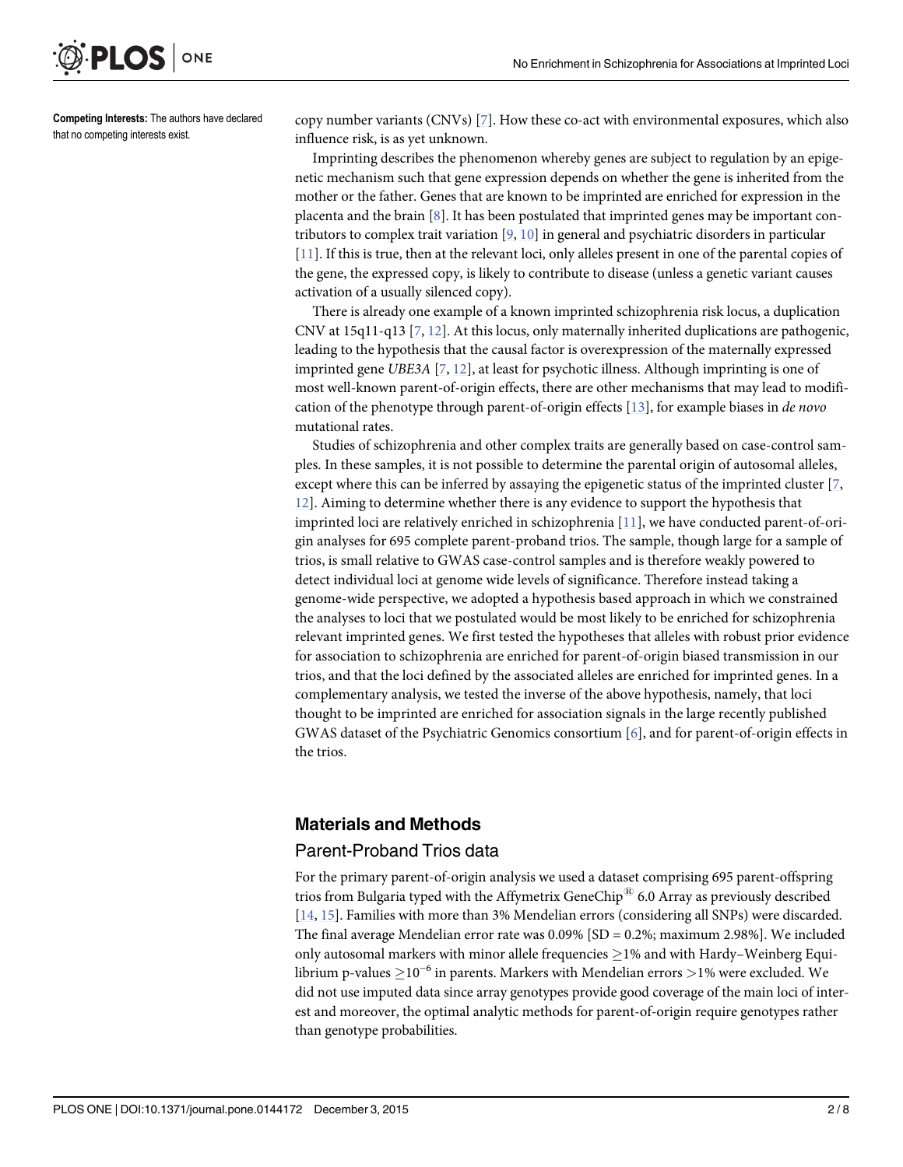<span id="page-1-0"></span>

Competing Interests: The authors have declared that no competing interests exist.

copy number variants (CNVs) [[7\]](#page-6-0). How these co-act with environmental exposures, which also influence risk, is as yet unknown.

Imprinting describes the phenomenon whereby genes are subject to regulation by an epigenetic mechanism such that gene expression depends on whether the gene is inherited from the mother or the father. Genes that are known to be imprinted are enriched for expression in the placenta and the brain  $[8]$ . It has been postulated that imprinted genes may be important contributors to complex trait variation [[9](#page-7-0), [10](#page-7-0)] in general and psychiatric disorders in particular [\[11](#page-7-0)]. If this is true, then at the relevant loci, only alleles present in one of the parental copies of the gene, the expressed copy, is likely to contribute to disease (unless a genetic variant causes activation of a usually silenced copy).

There is already one example of a known imprinted schizophrenia risk locus, a duplication CNV at 15q11-q13  $[7, 12]$  $[7, 12]$  $[7, 12]$  $[7, 12]$ . At this locus, only maternally inherited duplications are pathogenic, leading to the hypothesis that the causal factor is overexpression of the maternally expressed imprinted gene UBE3A [[7,](#page-6-0) [12\]](#page-7-0), at least for psychotic illness. Although imprinting is one of most well-known parent-of-origin effects, there are other mechanisms that may lead to modification of the phenotype through parent-of-origin effects [[13](#page-7-0)], for example biases in de novo mutational rates.

Studies of schizophrenia and other complex traits are generally based on case-control samples. In these samples, it is not possible to determine the parental origin of autosomal alleles, except where this can be inferred by assaying the epigenetic status of the imprinted cluster  $[7, 6]$  $[7, 6]$  $[7, 6]$ [12\]](#page-7-0). Aiming to determine whether there is any evidence to support the hypothesis that imprinted loci are relatively enriched in schizophrenia [\[11](#page-7-0)], we have conducted parent-of-origin analyses for 695 complete parent-proband trios. The sample, though large for a sample of trios, is small relative to GWAS case-control samples and is therefore weakly powered to detect individual loci at genome wide levels of significance. Therefore instead taking a genome-wide perspective, we adopted a hypothesis based approach in which we constrained the analyses to loci that we postulated would be most likely to be enriched for schizophrenia relevant imprinted genes. We first tested the hypotheses that alleles with robust prior evidence for association to schizophrenia are enriched for parent-of-origin biased transmission in our trios, and that the loci defined by the associated alleles are enriched for imprinted genes. In a complementary analysis, we tested the inverse of the above hypothesis, namely, that loci thought to be imprinted are enriched for association signals in the large recently published GWAS dataset of the Psychiatric Genomics consortium [[6\]](#page-6-0), and for parent-of-origin effects in the trios.

# Materials and Methods

# Parent-Proband Trios data

For the primary parent-of-origin analysis we used a dataset comprising 695 parent-offspring trios from Bulgaria typed with the Affymetrix GeneChip<sup> $\mathfrak{B}$ </sup> 6.0 Array as previously described [\[14](#page-7-0), [15\]](#page-7-0). Families with more than 3% Mendelian errors (considering all SNPs) were discarded. The final average Mendelian error rate was  $0.09\%$  [SD = 0.2%; maximum 2.98%]. We included only autosomal markers with minor allele frequencies  $>1%$  and with Hardy–Weinberg Equilibrium p-values 10−<sup>6</sup> in parents. Markers with Mendelian errors <sup>&</sup>gt;1% were excluded. We did not use imputed data since array genotypes provide good coverage of the main loci of interest and moreover, the optimal analytic methods for parent-of-origin require genotypes rather than genotype probabilities.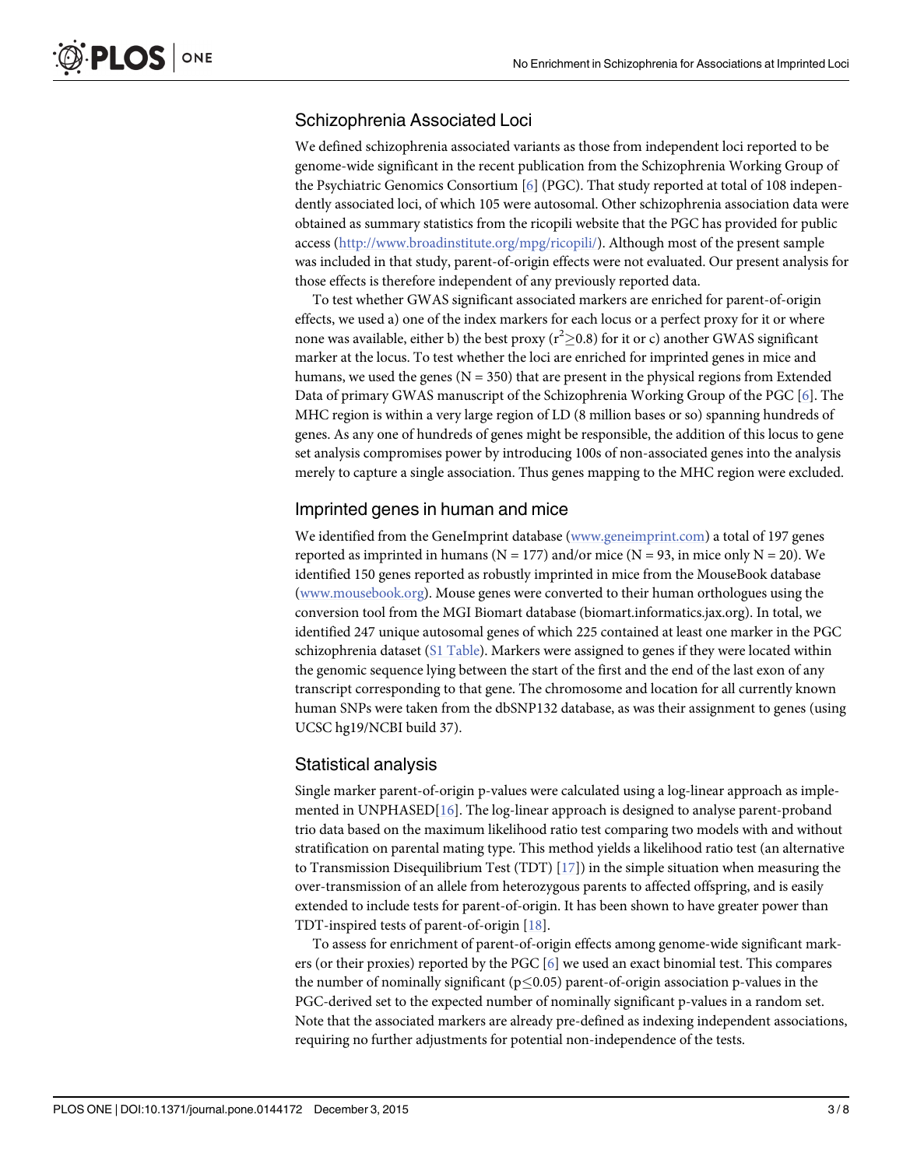# <span id="page-2-0"></span>Schizophrenia Associated Loci

We defined schizophrenia associated variants as those from independent loci reported to be genome-wide significant in the recent publication from the Schizophrenia Working Group of the Psychiatric Genomics Consortium [\[6\]](#page-6-0) (PGC). That study reported at total of 108 independently associated loci, of which 105 were autosomal. Other schizophrenia association data were obtained as summary statistics from the ricopili website that the PGC has provided for public access (<http://www.broadinstitute.org/mpg/ricopili/>). Although most of the present sample was included in that study, parent-of-origin effects were not evaluated. Our present analysis for those effects is therefore independent of any previously reported data.

To test whether GWAS significant associated markers are enriched for parent-of-origin effects, we used a) one of the index markers for each locus or a perfect proxy for it or where none was available, either b) the best proxy ( $r^2 \ge 0.8$ ) for it or c) another GWAS significant marker at the locus. To test whether the loci are enriched for imprinted genes in mice and humans, we used the genes ( $N = 350$ ) that are present in the physical regions from Extended Data of primary GWAS manuscript of the Schizophrenia Working Group of the PGC [\[6\]](#page-6-0). The MHC region is within a very large region of LD (8 million bases or so) spanning hundreds of genes. As any one of hundreds of genes might be responsible, the addition of this locus to gene set analysis compromises power by introducing 100s of non-associated genes into the analysis merely to capture a single association. Thus genes mapping to the MHC region were excluded.

#### Imprinted genes in human and mice

We identified from the GeneImprint database [\(www.geneimprint.com](http://www.geneimprint.com)) a total of 197 genes reported as imprinted in humans ( $N = 177$ ) and/or mice ( $N = 93$ , in mice only  $N = 20$ ). We identified 150 genes reported as robustly imprinted in mice from the MouseBook database [\(www.mousebook.org](http://www.mousebook.org)). Mouse genes were converted to their human orthologues using the conversion tool from the MGI Biomart database (biomart.informatics.jax.org). In total, we identified 247 unique autosomal genes of which 225 contained at least one marker in the PGC schizophrenia dataset ( $S1$  Table). Markers were assigned to genes if they were located within the genomic sequence lying between the start of the first and the end of the last exon of any transcript corresponding to that gene. The chromosome and location for all currently known human SNPs were taken from the dbSNP132 database, as was their assignment to genes (using UCSC hg19/NCBI build 37).

#### Statistical analysis

Single marker parent-of-origin p-values were calculated using a log-linear approach as implemented in UNPHASED[\[16](#page-7-0)]. The log-linear approach is designed to analyse parent-proband trio data based on the maximum likelihood ratio test comparing two models with and without stratification on parental mating type. This method yields a likelihood ratio test (an alternative to Transmission Disequilibrium Test (TDT)  $[17]$  $[17]$  $[17]$ ) in the simple situation when measuring the over-transmission of an allele from heterozygous parents to affected offspring, and is easily extended to include tests for parent-of-origin. It has been shown to have greater power than TDT-inspired tests of parent-of-origin [\[18\]](#page-7-0).

To assess for enrichment of parent-of-origin effects among genome-wide significant markers (or their proxies) reported by the PGC [\[6](#page-6-0)] we used an exact binomial test. This compares the number of nominally significant ( $p\leq 0.05$ ) parent-of-origin association p-values in the PGC-derived set to the expected number of nominally significant p-values in a random set. Note that the associated markers are already pre-defined as indexing independent associations, requiring no further adjustments for potential non-independence of the tests.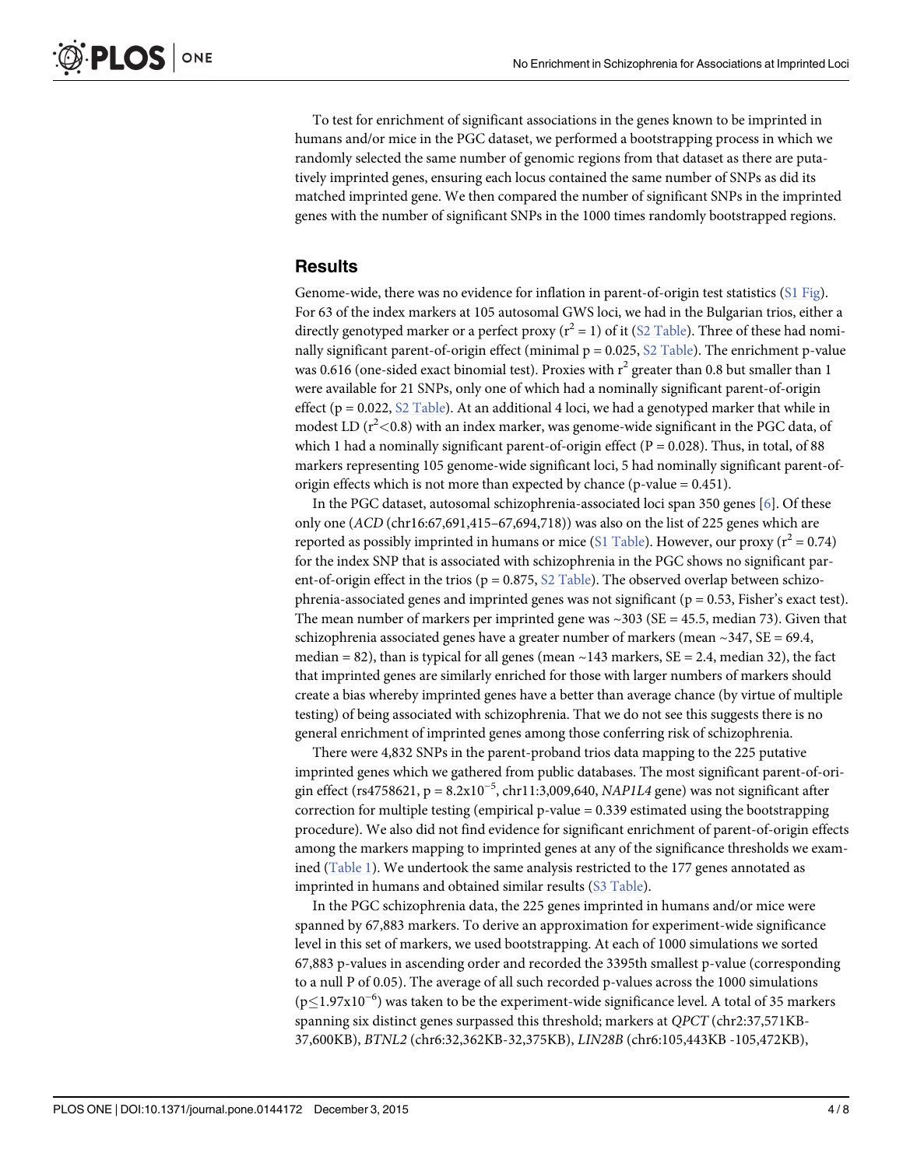<span id="page-3-0"></span>To test for enrichment of significant associations in the genes known to be imprinted in humans and/or mice in the PGC dataset, we performed a bootstrapping process in which we randomly selected the same number of genomic regions from that dataset as there are putatively imprinted genes, ensuring each locus contained the same number of SNPs as did its matched imprinted gene. We then compared the number of significant SNPs in the imprinted genes with the number of significant SNPs in the 1000 times randomly bootstrapped regions.

# **Results**

Genome-wide, there was no evidence for inflation in parent-of-origin test statistics  $(S1$  Fig. For 63 of the index markers at 105 autosomal GWS loci, we had in the Bulgarian trios, either a directly genotyped marker or a perfect proxy ( $r^2 = 1$ ) of it ( $S2$  Table). Three of these had nominally significant parent-of-origin effect (minimal  $p = 0.025$ ,  $S2$  Table). The enrichment p-value was 0.616 (one-sided exact binomial test). Proxies with  $r^2$  greater than 0.8 but smaller than 1 were available for 21 SNPs, only one of which had a nominally significant parent-of-origin effect ( $p = 0.022$ , [S2 Table](#page-6-0)). At an additional 4 loci, we had a genotyped marker that while in modest LD ( $r<sup>2</sup><$ 0.8) with an index marker, was genome-wide significant in the PGC data, of which 1 had a nominally significant parent-of-origin effect ( $P = 0.028$ ). Thus, in total, of 88 markers representing 105 genome-wide significant loci, 5 had nominally significant parent-oforigin effects which is not more than expected by chance (p-value = 0.451).

In the PGC dataset, autosomal schizophrenia-associated loci span 350 genes [\[6\]](#page-6-0). Of these only one (ACD (chr16:67,691,415–67,694,718)) was also on the list of 225 genes which are reported as possibly imprinted in humans or mice [\(S1 Table](#page-6-0)). However, our proxy ( $r^2 = 0.74$ ) for the index SNP that is associated with schizophrenia in the PGC shows no significant parent-of-origin effect in the trios ( $p = 0.875$ ,  $\S2$  Table). The observed overlap between schizophrenia-associated genes and imprinted genes was not significant ( $p = 0.53$ , Fisher's exact test). The mean number of markers per imprinted gene was  $\sim$ 303 (SE = 45.5, median 73). Given that schizophrenia associated genes have a greater number of markers (mean  $\sim$ 347, SE = 69.4, median = 82), than is typical for all genes (mean  $\sim$  143 markers, SE = 2.4, median 32), the fact that imprinted genes are similarly enriched for those with larger numbers of markers should create a bias whereby imprinted genes have a better than average chance (by virtue of multiple testing) of being associated with schizophrenia. That we do not see this suggests there is no general enrichment of imprinted genes among those conferring risk of schizophrenia.

There were 4,832 SNPs in the parent-proband trios data mapping to the 225 putative imprinted genes which we gathered from public databases. The most significant parent-of-origin effect (rs4758621, p =  $8.2x10^{-5}$ , chr11:3,009,640, NAP1L4 gene) was not significant after correction for multiple testing (empirical p-value  $= 0.339$  estimated using the bootstrapping procedure). We also did not find evidence for significant enrichment of parent-of-origin effects among the markers mapping to imprinted genes at any of the significance thresholds we exam-ined [\(Table 1](#page-4-0)). We undertook the same analysis restricted to the 177 genes annotated as imprinted in humans and obtained similar results [\(S3 Table](#page-6-0)).

In the PGC schizophrenia data, the 225 genes imprinted in humans and/or mice were spanned by 67,883 markers. To derive an approximation for experiment-wide significance level in this set of markers, we used bootstrapping. At each of 1000 simulations we sorted 67,883 p-values in ascending order and recorded the 3395th smallest p-value (corresponding to a null P of 0.05). The average of all such recorded p-values across the 1000 simulations (p≤1.97x10<sup>-6</sup>) was taken to be the experiment-wide significance level. A total of 35 markers spanning six distinct genes surpassed this threshold; markers at QPCT (chr2:37,571KB-37,600KB), BTNL2 (chr6:32,362KB-32,375KB), LIN28B (chr6:105,443KB -105,472KB),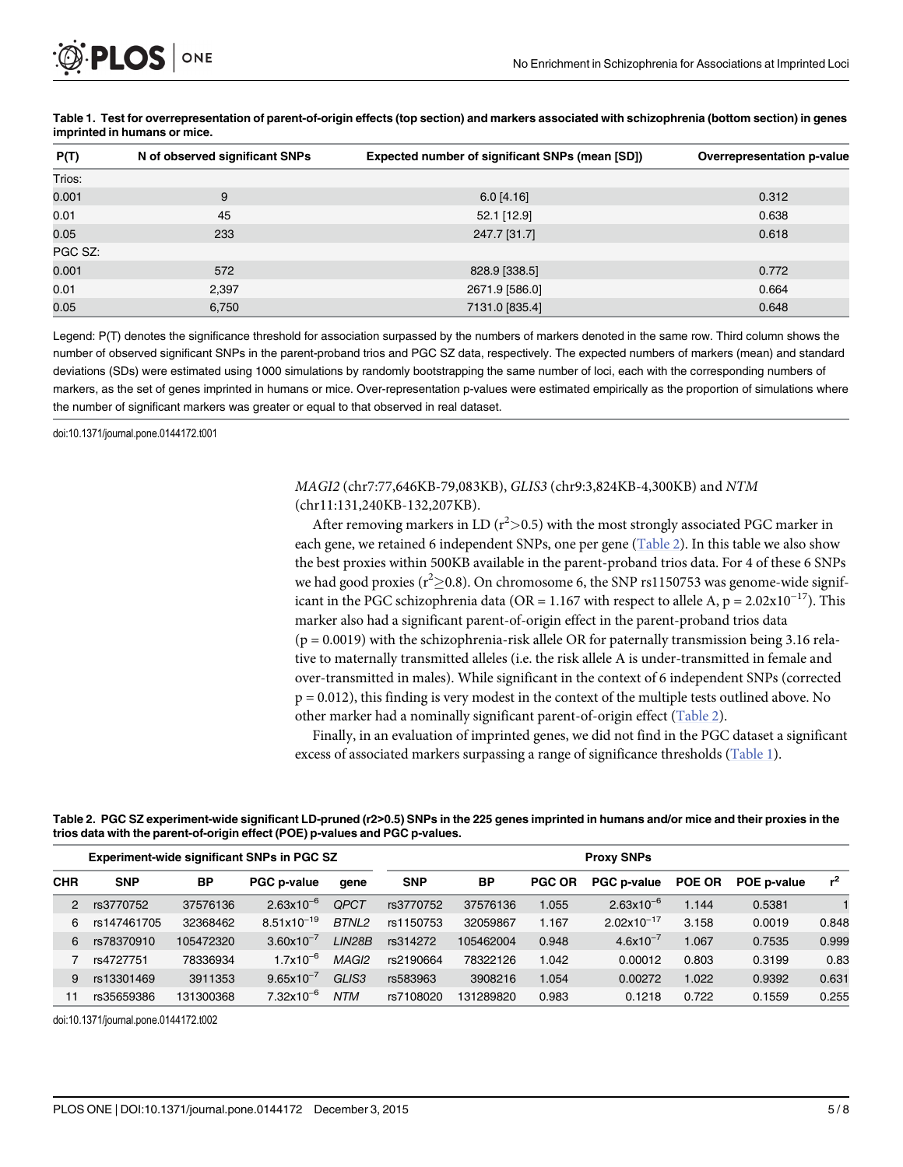<span id="page-4-0"></span>

| P(T)    | N of observed significant SNPs | Expected number of significant SNPs (mean [SD]) | Overrepresentation p-value |  |  |
|---------|--------------------------------|-------------------------------------------------|----------------------------|--|--|
| Trios:  |                                |                                                 |                            |  |  |
| 0.001   | 9                              | $6.0$ [4.16]                                    | 0.312                      |  |  |
| 0.01    | 45                             | 52.1 [12.9]                                     | 0.638                      |  |  |
| 0.05    | 233                            | 247.7 [31.7]                                    | 0.618                      |  |  |
| PGC SZ: |                                |                                                 |                            |  |  |
| 0.001   | 572                            | 828.9 [338.5]                                   | 0.772                      |  |  |
| 0.01    | 2,397                          | 2671.9 [586.0]                                  | 0.664                      |  |  |
| 0.05    | 6,750                          | 7131.0 [835.4]                                  | 0.648                      |  |  |

#### [Table 1.](#page-3-0) Test for overrepresentation of parent-of-origin effects (top section) and markers associated with schizophrenia (bottom section) in genes imprinted in humans or mice.

Legend: P(T) denotes the significance threshold for association surpassed by the numbers of markers denoted in the same row. Third column shows the number of observed significant SNPs in the parent-proband trios and PGC SZ data, respectively. The expected numbers of markers (mean) and standard deviations (SDs) were estimated using 1000 simulations by randomly bootstrapping the same number of loci, each with the corresponding numbers of markers, as the set of genes imprinted in humans or mice. Over-representation p-values were estimated empirically as the proportion of simulations where the number of significant markers was greater or equal to that observed in real dataset.

doi:10.1371/journal.pone.0144172.t001

#### MAGI2 (chr7:77,646KB-79,083KB), GLIS3 (chr9:3,824KB-4,300KB) and NTM (chr11:131,240KB-132,207KB).

After removing markers in LD ( $r^2$ >0.5) with the most strongly associated PGC marker in each gene, we retained 6 independent SNPs, one per gene (Table 2). In this table we also show the best proxies within 500KB available in the parent-proband trios data. For 4 of these 6 SNPs we had good proxies ( $r^2 \ge 0.8$ ). On chromosome 6, the SNP rs1150753 was genome-wide significant in the PGC schizophrenia data (OR = 1.167 with respect to allele A,  $p = 2.02 \times 10^{-17}$ ). This marker also had a significant parent-of-origin effect in the parent-proband trios data  $(p = 0.0019)$  with the schizophrenia-risk allele OR for paternally transmission being 3.16 relative to maternally transmitted alleles (i.e. the risk allele A is under-transmitted in female and over-transmitted in males). While significant in the context of 6 independent SNPs (corrected p = 0.012), this finding is very modest in the context of the multiple tests outlined above. No other marker had a nominally significant parent-of-origin effect (Table 2).

Finally, in an evaluation of imprinted genes, we did not find in the PGC dataset a significant excess of associated markers surpassing a range of significance thresholds (Table 1).

#### Table 2. PGC SZ experiment-wide significant LD-pruned (r2>0.5) SNPs in the 225 genes imprinted in humans and/or mice and their proxies in the trios data with the parent-of-origin effect (POE) p-values and PGC p-values.

| <b>Experiment-wide significant SNPs in PGC SZ</b> |             |           |                       | <b>Proxy SNPs</b> |            |           |               |                        |               |             |                |
|---------------------------------------------------|-------------|-----------|-----------------------|-------------------|------------|-----------|---------------|------------------------|---------------|-------------|----------------|
| <b>CHR</b>                                        | <b>SNP</b>  | <b>BP</b> | <b>PGC p-value</b>    | qene              | <b>SNP</b> | <b>BP</b> | <b>PGC OR</b> | <b>PGC p-value</b>     | <b>POE OR</b> | POE p-value | r <sup>2</sup> |
| 2                                                 | rs3770752   | 37576136  | $2.63x10^{-6}$        | <b>OPCT</b>       | rs3770752  | 37576136  | 1.055         | $2.63x10^{-6}$         | 1.144         | 0.5381      |                |
| 6                                                 | rs147461705 | 32368462  | $8.51x10^{-19}$       | BTNL2             | rs1150753  | 32059867  | 1.167         | $2.02 \times 10^{-17}$ | 3.158         | 0.0019      | 0.848          |
| 6                                                 | rs78370910  | 105472320 | $3.60 \times 10^{-7}$ | LIN28B            | rs314272   | 105462004 | 0.948         | $4.6x10^{-7}$          | 1.067         | 0.7535      | 0.999          |
|                                                   | rs4727751   | 78336934  | $1.7x10^{-6}$         | MAGI <sub>2</sub> | rs2190664  | 78322126  | 1.042         | 0.00012                | 0.803         | 0.3199      | 0.83           |
| 9                                                 | rs13301469  | 3911353   | $9.65 \times 10^{-7}$ | GLIS <sub>3</sub> | rs583963   | 3908216   | 1.054         | 0.00272                | 1.022         | 0.9392      | 0.631          |
|                                                   | rs35659386  | 131300368 | $7.32\times10^{-6}$   | <b>NTM</b>        | rs7108020  | 131289820 | 0.983         | 0.1218                 | 0.722         | 0.1559      | 0.255          |

doi:10.1371/journal.pone.0144172.t002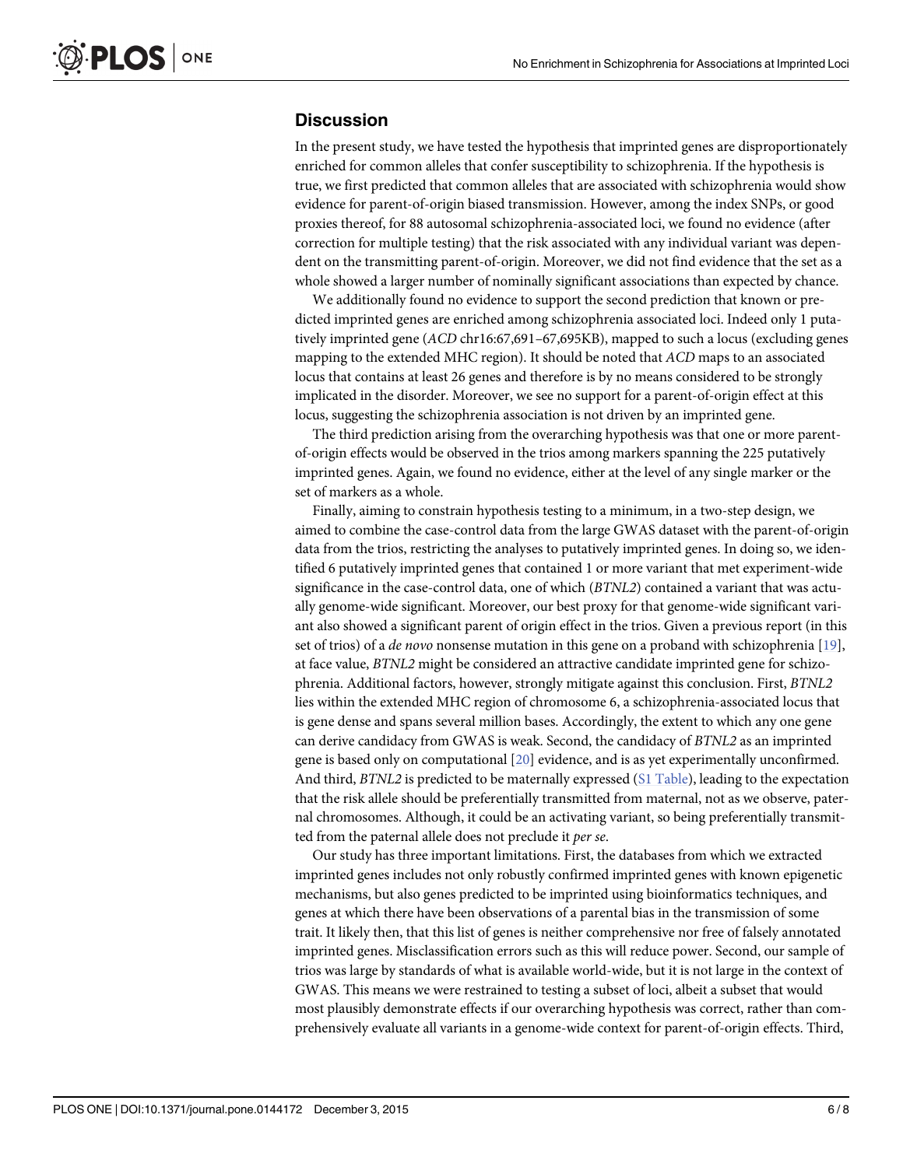### <span id="page-5-0"></span>**Discussion**

In the present study, we have tested the hypothesis that imprinted genes are disproportionately enriched for common alleles that confer susceptibility to schizophrenia. If the hypothesis is true, we first predicted that common alleles that are associated with schizophrenia would show evidence for parent-of-origin biased transmission. However, among the index SNPs, or good proxies thereof, for 88 autosomal schizophrenia-associated loci, we found no evidence (after correction for multiple testing) that the risk associated with any individual variant was dependent on the transmitting parent-of-origin. Moreover, we did not find evidence that the set as a whole showed a larger number of nominally significant associations than expected by chance.

We additionally found no evidence to support the second prediction that known or predicted imprinted genes are enriched among schizophrenia associated loci. Indeed only 1 putatively imprinted gene (ACD chr16:67,691–67,695KB), mapped to such a locus (excluding genes mapping to the extended MHC region). It should be noted that ACD maps to an associated locus that contains at least 26 genes and therefore is by no means considered to be strongly implicated in the disorder. Moreover, we see no support for a parent-of-origin effect at this locus, suggesting the schizophrenia association is not driven by an imprinted gene.

The third prediction arising from the overarching hypothesis was that one or more parentof-origin effects would be observed in the trios among markers spanning the 225 putatively imprinted genes. Again, we found no evidence, either at the level of any single marker or the set of markers as a whole.

Finally, aiming to constrain hypothesis testing to a minimum, in a two-step design, we aimed to combine the case-control data from the large GWAS dataset with the parent-of-origin data from the trios, restricting the analyses to putatively imprinted genes. In doing so, we identified 6 putatively imprinted genes that contained 1 or more variant that met experiment-wide significance in the case-control data, one of which (BTNL2) contained a variant that was actually genome-wide significant. Moreover, our best proxy for that genome-wide significant variant also showed a significant parent of origin effect in the trios. Given a previous report (in this set of trios) of a de novo nonsense mutation in this gene on a proband with schizophrenia [\[19\]](#page-7-0), at face value, BTNL2 might be considered an attractive candidate imprinted gene for schizophrenia. Additional factors, however, strongly mitigate against this conclusion. First, BTNL2 lies within the extended MHC region of chromosome 6, a schizophrenia-associated locus that is gene dense and spans several million bases. Accordingly, the extent to which any one gene can derive candidacy from GWAS is weak. Second, the candidacy of BTNL2 as an imprinted gene is based only on computational [[20](#page-7-0)] evidence, and is as yet experimentally unconfirmed. And third, BTNL2 is predicted to be maternally expressed ([S1 Table\)](#page-6-0), leading to the expectation that the risk allele should be preferentially transmitted from maternal, not as we observe, paternal chromosomes. Although, it could be an activating variant, so being preferentially transmitted from the paternal allele does not preclude it per se.

Our study has three important limitations. First, the databases from which we extracted imprinted genes includes not only robustly confirmed imprinted genes with known epigenetic mechanisms, but also genes predicted to be imprinted using bioinformatics techniques, and genes at which there have been observations of a parental bias in the transmission of some trait. It likely then, that this list of genes is neither comprehensive nor free of falsely annotated imprinted genes. Misclassification errors such as this will reduce power. Second, our sample of trios was large by standards of what is available world-wide, but it is not large in the context of GWAS. This means we were restrained to testing a subset of loci, albeit a subset that would most plausibly demonstrate effects if our overarching hypothesis was correct, rather than comprehensively evaluate all variants in a genome-wide context for parent-of-origin effects. Third,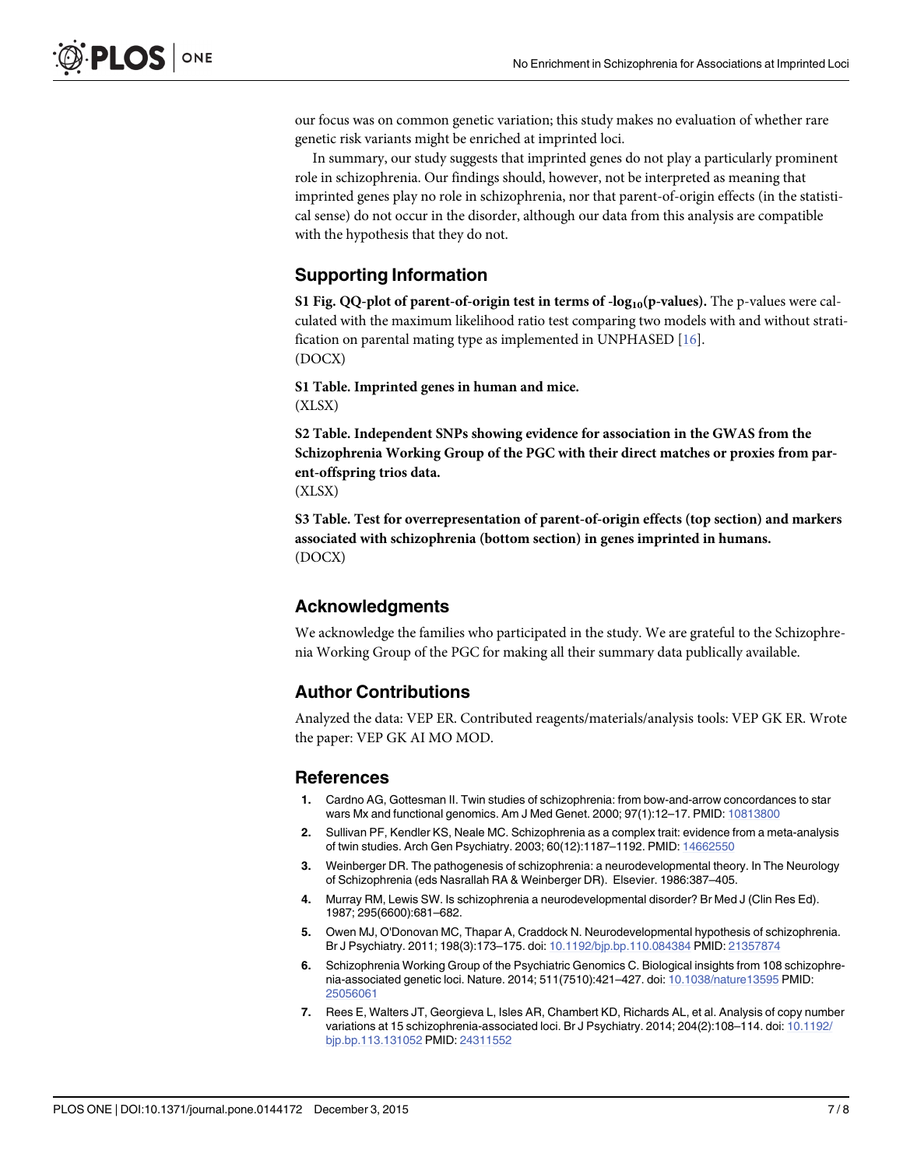<span id="page-6-0"></span>our focus was on common genetic variation; this study makes no evaluation of whether rare genetic risk variants might be enriched at imprinted loci.

In summary, our study suggests that imprinted genes do not play a particularly prominent role in schizophrenia. Our findings should, however, not be interpreted as meaning that imprinted genes play no role in schizophrenia, nor that parent-of-origin effects (in the statistical sense) do not occur in the disorder, although our data from this analysis are compatible with the hypothesis that they do not.

# Supporting Information

[S1 Fig.](http://www.plosone.org/article/fetchSingleRepresentation.action?uri=info:doi/10.1371/journal.pone.0144172.s001) QQ-plot of parent-of-origin test in terms of  $-log_{10}(p-values)$ . The p-values were calculated with the maximum likelihood ratio test comparing two models with and without stratification on parental mating type as implemented in UNPHASED [[16\]](#page-7-0). (DOCX)

[S1 Table](http://www.plosone.org/article/fetchSingleRepresentation.action?uri=info:doi/10.1371/journal.pone.0144172.s002). Imprinted genes in human and mice. (XLSX)

[S2 Table](http://www.plosone.org/article/fetchSingleRepresentation.action?uri=info:doi/10.1371/journal.pone.0144172.s003). Independent SNPs showing evidence for association in the GWAS from the Schizophrenia Working Group of the PGC with their direct matches or proxies from parent-offspring trios data.

(XLSX)

[S3 Table](http://www.plosone.org/article/fetchSingleRepresentation.action?uri=info:doi/10.1371/journal.pone.0144172.s004). Test for overrepresentation of parent-of-origin effects (top section) and markers associated with schizophrenia (bottom section) in genes imprinted in humans. (DOCX)

#### Acknowledgments

We acknowledge the families who participated in the study. We are grateful to the Schizophrenia Working Group of the PGC for making all their summary data publically available.

# Author Contributions

Analyzed the data: VEP ER. Contributed reagents/materials/analysis tools: VEP GK ER. Wrote the paper: VEP GK AI MO MOD.

#### References

- [1.](#page-0-0) Cardno AG, Gottesman II. Twin studies of schizophrenia: from bow-and-arrow concordances to star wars Mx and functional genomics. Am J Med Genet. 2000; 97(1):12–17. PMID: [10813800](http://www.ncbi.nlm.nih.gov/pubmed/10813800)
- [2.](#page-0-0) Sullivan PF, Kendler KS, Neale MC. Schizophrenia as a complex trait: evidence from a meta-analysis of twin studies. Arch Gen Psychiatry. 2003; 60(12):1187-1192. PMID: [14662550](http://www.ncbi.nlm.nih.gov/pubmed/14662550)
- [3.](#page-0-0) Weinberger DR. The pathogenesis of schizophrenia: a neurodevelopmental theory. In The Neurology of Schizophrenia (eds Nasrallah RA & Weinberger DR). Elsevier. 1986:387–405.
- 4. Murray RM, Lewis SW. Is schizophrenia a neurodevelopmental disorder? Br Med J (Clin Res Ed). 1987; 295(6600):681–682.
- [5.](#page-0-0) Owen MJ, O'Donovan MC, Thapar A, Craddock N. Neurodevelopmental hypothesis of schizophrenia. Br J Psychiatry. 2011; 198(3):173–175. doi: [10.1192/bjp.bp.110.084384](http://dx.doi.org/10.1192/bjp.bp.110.084384) PMID: [21357874](http://www.ncbi.nlm.nih.gov/pubmed/21357874)
- [6.](#page-0-0) Schizophrenia Working Group of the Psychiatric Genomics C. Biological insights from 108 schizophrenia-associated genetic loci. Nature. 2014; 511(7510):421–427. doi: [10.1038/nature13595](http://dx.doi.org/10.1038/nature13595) PMID: [25056061](http://www.ncbi.nlm.nih.gov/pubmed/25056061)
- [7.](#page-1-0) Rees E, Walters JT, Georgieva L, Isles AR, Chambert KD, Richards AL, et al. Analysis of copy number variations at 15 schizophrenia-associated loci. Br J Psychiatry. 2014; 204(2):108–114. doi: [10.1192/](http://dx.doi.org/10.1192/bjp.bp.113.131052) [bjp.bp.113.131052](http://dx.doi.org/10.1192/bjp.bp.113.131052) PMID: [24311552](http://www.ncbi.nlm.nih.gov/pubmed/24311552)